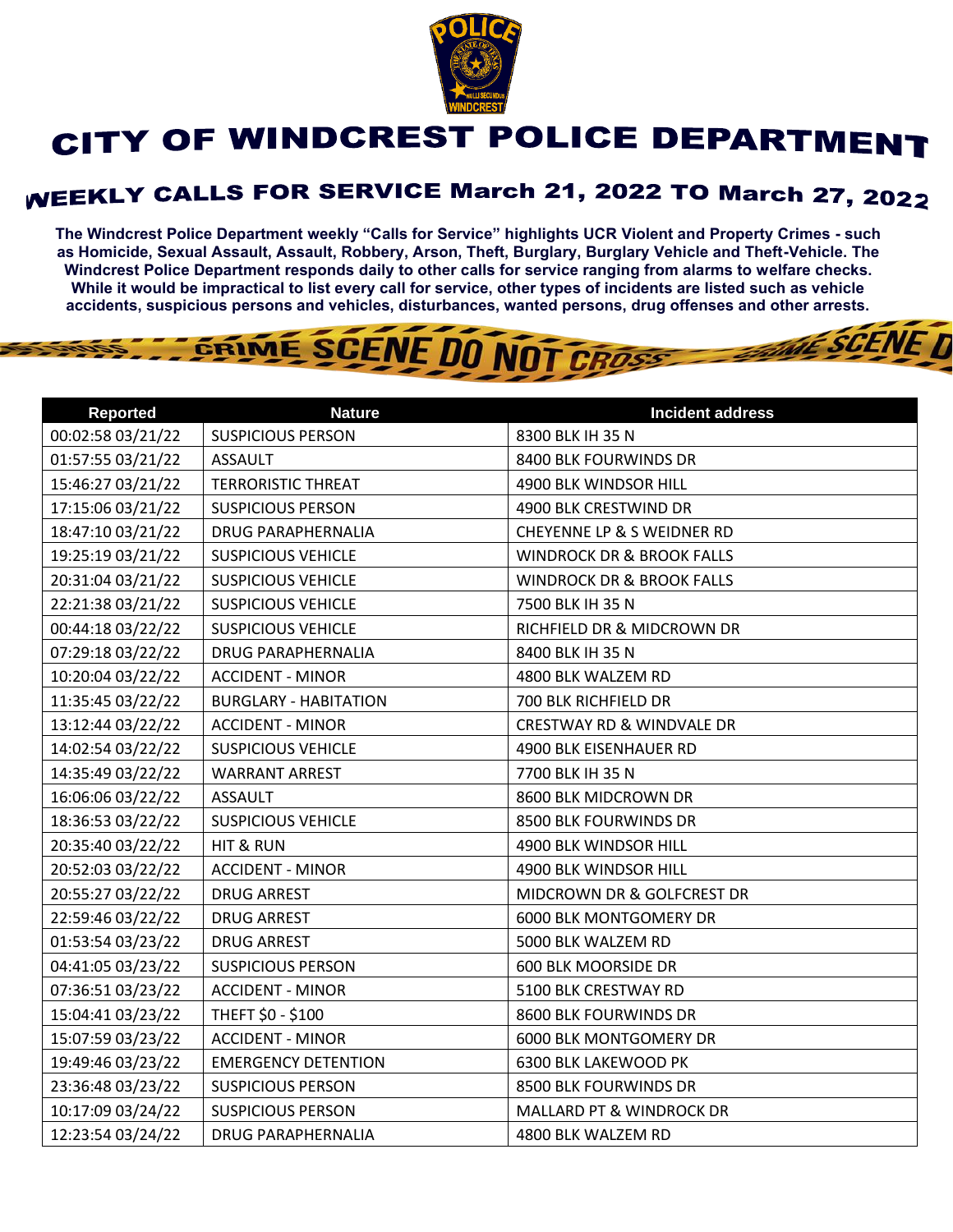

## CITY OF WINDCREST POLICE DEPARTMENT

## **WEEKLY CALLS FOR SERVICE March 21, 2022 TO March 27, 2022**

**The Windcrest Police Department weekly "Calls for Service" highlights UCR Violent and Property Crimes - such as Homicide, Sexual Assault, Assault, Robbery, Arson, Theft, Burglary, Burglary Vehicle and Theft-Vehicle. The Windcrest Police Department responds daily to other calls for service ranging from alarms to welfare checks. While it would be impractical to list every call for service, other types of incidents are listed such as vehicle accidents, suspicious persons and vehicles, disturbances, wanted persons, drug offenses and other arrests.** 

**THE SCENE D** 

## GRIME SCENE DO NOT CROSS

| <b>Reported</b>   | <b>Nature</b>                | <b>Incident address</b>              |
|-------------------|------------------------------|--------------------------------------|
| 00:02:58 03/21/22 | <b>SUSPICIOUS PERSON</b>     | 8300 BLK IH 35 N                     |
| 01:57:55 03/21/22 | <b>ASSAULT</b>               | 8400 BLK FOURWINDS DR                |
| 15:46:27 03/21/22 | <b>TERRORISTIC THREAT</b>    | 4900 BLK WINDSOR HILL                |
| 17:15:06 03/21/22 | <b>SUSPICIOUS PERSON</b>     | 4900 BLK CRESTWIND DR                |
| 18:47:10 03/21/22 | <b>DRUG PARAPHERNALIA</b>    | CHEYENNE LP & S WEIDNER RD           |
| 19:25:19 03/21/22 | <b>SUSPICIOUS VEHICLE</b>    | <b>WINDROCK DR &amp; BROOK FALLS</b> |
| 20:31:04 03/21/22 | <b>SUSPICIOUS VEHICLE</b>    | <b>WINDROCK DR &amp; BROOK FALLS</b> |
| 22:21:38 03/21/22 | <b>SUSPICIOUS VEHICLE</b>    | 7500 BLK IH 35 N                     |
| 00:44:18 03/22/22 | <b>SUSPICIOUS VEHICLE</b>    | RICHFIELD DR & MIDCROWN DR           |
| 07:29:18 03/22/22 | <b>DRUG PARAPHERNALIA</b>    | 8400 BLK IH 35 N                     |
| 10:20:04 03/22/22 | <b>ACCIDENT - MINOR</b>      | 4800 BLK WALZEM RD                   |
| 11:35:45 03/22/22 | <b>BURGLARY - HABITATION</b> | 700 BLK RICHFIELD DR                 |
| 13:12:44 03/22/22 | <b>ACCIDENT - MINOR</b>      | <b>CRESTWAY RD &amp; WINDVALE DR</b> |
| 14:02:54 03/22/22 | <b>SUSPICIOUS VEHICLE</b>    | 4900 BLK EISENHAUER RD               |
| 14:35:49 03/22/22 | <b>WARRANT ARREST</b>        | 7700 BLK IH 35 N                     |
| 16:06:06 03/22/22 | <b>ASSAULT</b>               | 8600 BLK MIDCROWN DR                 |
| 18:36:53 03/22/22 | <b>SUSPICIOUS VEHICLE</b>    | 8500 BLK FOURWINDS DR                |
| 20:35:40 03/22/22 | HIT & RUN                    | 4900 BLK WINDSOR HILL                |
| 20:52:03 03/22/22 | <b>ACCIDENT - MINOR</b>      | 4900 BLK WINDSOR HILL                |
| 20:55:27 03/22/22 | <b>DRUG ARREST</b>           | MIDCROWN DR & GOLFCREST DR           |
| 22:59:46 03/22/22 | <b>DRUG ARREST</b>           | <b>6000 BLK MONTGOMERY DR</b>        |
| 01:53:54 03/23/22 | <b>DRUG ARREST</b>           | 5000 BLK WALZEM RD                   |
| 04:41:05 03/23/22 | <b>SUSPICIOUS PERSON</b>     | 600 BLK MOORSIDE DR                  |
| 07:36:51 03/23/22 | <b>ACCIDENT - MINOR</b>      | 5100 BLK CRESTWAY RD                 |
| 15:04:41 03/23/22 | THEFT \$0 - \$100            | 8600 BLK FOURWINDS DR                |
| 15:07:59 03/23/22 | <b>ACCIDENT - MINOR</b>      | <b>6000 BLK MONTGOMERY DR</b>        |
| 19:49:46 03/23/22 | <b>EMERGENCY DETENTION</b>   | 6300 BLK LAKEWOOD PK                 |
| 23:36:48 03/23/22 | <b>SUSPICIOUS PERSON</b>     | 8500 BLK FOURWINDS DR                |
| 10:17:09 03/24/22 | <b>SUSPICIOUS PERSON</b>     | MALLARD PT & WINDROCK DR             |
| 12:23:54 03/24/22 | <b>DRUG PARAPHERNALIA</b>    | 4800 BLK WALZEM RD                   |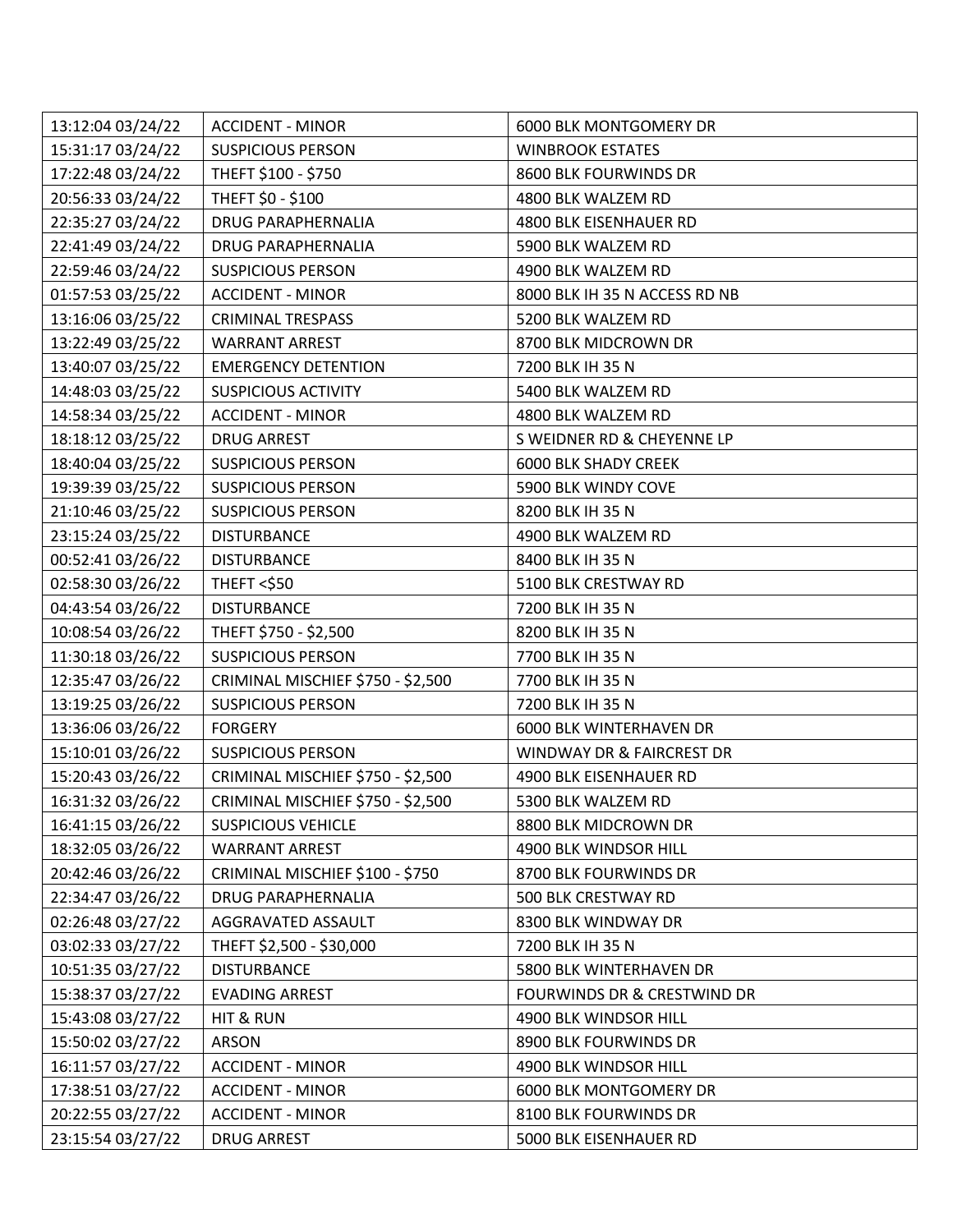| 13:12:04 03/24/22 | <b>ACCIDENT - MINOR</b>           | 6000 BLK MONTGOMERY DR                 |
|-------------------|-----------------------------------|----------------------------------------|
| 15:31:17 03/24/22 | <b>SUSPICIOUS PERSON</b>          | <b>WINBROOK ESTATES</b>                |
| 17:22:48 03/24/22 | THEFT \$100 - \$750               | 8600 BLK FOURWINDS DR                  |
| 20:56:33 03/24/22 | THEFT \$0 - \$100                 | 4800 BLK WALZEM RD                     |
| 22:35:27 03/24/22 | DRUG PARAPHERNALIA                | 4800 BLK EISENHAUER RD                 |
| 22:41:49 03/24/22 | DRUG PARAPHERNALIA                | 5900 BLK WALZEM RD                     |
| 22:59:46 03/24/22 | <b>SUSPICIOUS PERSON</b>          | 4900 BLK WALZEM RD                     |
| 01:57:53 03/25/22 | <b>ACCIDENT - MINOR</b>           | 8000 BLK IH 35 N ACCESS RD NB          |
| 13:16:06 03/25/22 | <b>CRIMINAL TRESPASS</b>          | 5200 BLK WALZEM RD                     |
| 13:22:49 03/25/22 | <b>WARRANT ARREST</b>             | 8700 BLK MIDCROWN DR                   |
| 13:40:07 03/25/22 | <b>EMERGENCY DETENTION</b>        | 7200 BLK IH 35 N                       |
| 14:48:03 03/25/22 | <b>SUSPICIOUS ACTIVITY</b>        | 5400 BLK WALZEM RD                     |
| 14:58:34 03/25/22 | <b>ACCIDENT - MINOR</b>           | 4800 BLK WALZEM RD                     |
| 18:18:12 03/25/22 | <b>DRUG ARREST</b>                | S WEIDNER RD & CHEYENNE LP             |
| 18:40:04 03/25/22 | <b>SUSPICIOUS PERSON</b>          | <b>6000 BLK SHADY CREEK</b>            |
| 19:39:39 03/25/22 | <b>SUSPICIOUS PERSON</b>          | 5900 BLK WINDY COVE                    |
| 21:10:46 03/25/22 | <b>SUSPICIOUS PERSON</b>          | 8200 BLK IH 35 N                       |
| 23:15:24 03/25/22 | <b>DISTURBANCE</b>                | 4900 BLK WALZEM RD                     |
| 00:52:41 03/26/22 | <b>DISTURBANCE</b>                | 8400 BLK IH 35 N                       |
| 02:58:30 03/26/22 | <b>THEFT &lt;\$50</b>             | 5100 BLK CRESTWAY RD                   |
| 04:43:54 03/26/22 | <b>DISTURBANCE</b>                | 7200 BLK IH 35 N                       |
| 10:08:54 03/26/22 | THEFT \$750 - \$2,500             | 8200 BLK IH 35 N                       |
| 11:30:18 03/26/22 | <b>SUSPICIOUS PERSON</b>          | 7700 BLK IH 35 N                       |
| 12:35:47 03/26/22 | CRIMINAL MISCHIEF \$750 - \$2,500 | 7700 BLK IH 35 N                       |
| 13:19:25 03/26/22 | <b>SUSPICIOUS PERSON</b>          | 7200 BLK IH 35 N                       |
| 13:36:06 03/26/22 | <b>FORGERY</b>                    | 6000 BLK WINTERHAVEN DR                |
| 15:10:01 03/26/22 | <b>SUSPICIOUS PERSON</b>          | WINDWAY DR & FAIRCREST DR              |
| 15:20:43 03/26/22 | CRIMINAL MISCHIEF \$750 - \$2,500 | 4900 BLK EISENHAUER RD                 |
| 16:31:32 03/26/22 | CRIMINAL MISCHIEF \$750 - \$2,500 | 5300 BLK WALZEM RD                     |
| 16:41:15 03/26/22 | <b>SUSPICIOUS VEHICLE</b>         | 8800 BLK MIDCROWN DR                   |
| 18:32:05 03/26/22 | <b>WARRANT ARREST</b>             | 4900 BLK WINDSOR HILL                  |
| 20:42:46 03/26/22 | CRIMINAL MISCHIEF \$100 - \$750   | 8700 BLK FOURWINDS DR                  |
| 22:34:47 03/26/22 | <b>DRUG PARAPHERNALIA</b>         | 500 BLK CRESTWAY RD                    |
| 02:26:48 03/27/22 | AGGRAVATED ASSAULT                | 8300 BLK WINDWAY DR                    |
| 03:02:33 03/27/22 | THEFT \$2,500 - \$30,000          | 7200 BLK IH 35 N                       |
| 10:51:35 03/27/22 | <b>DISTURBANCE</b>                | 5800 BLK WINTERHAVEN DR                |
| 15:38:37 03/27/22 | <b>EVADING ARREST</b>             | <b>FOURWINDS DR &amp; CRESTWIND DR</b> |
| 15:43:08 03/27/22 | <b>HIT &amp; RUN</b>              | 4900 BLK WINDSOR HILL                  |
| 15:50:02 03/27/22 | <b>ARSON</b>                      | 8900 BLK FOURWINDS DR                  |
| 16:11:57 03/27/22 | <b>ACCIDENT - MINOR</b>           | 4900 BLK WINDSOR HILL                  |
| 17:38:51 03/27/22 | <b>ACCIDENT - MINOR</b>           | 6000 BLK MONTGOMERY DR                 |
| 20:22:55 03/27/22 | <b>ACCIDENT - MINOR</b>           | 8100 BLK FOURWINDS DR                  |
| 23:15:54 03/27/22 | <b>DRUG ARREST</b>                | 5000 BLK EISENHAUER RD                 |